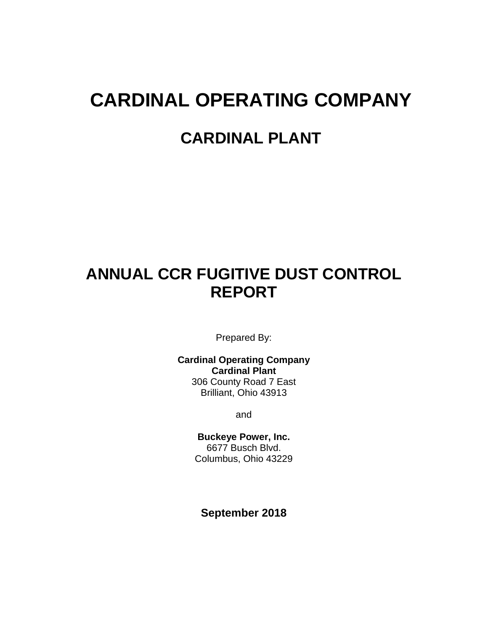# **CARDINAL OPERATING COMPANY**

### **CARDINAL PLANT**

# **ANNUAL CCR FUGITIVE DUST CONTROL REPORT**

Prepared By:

**Cardinal Operating Company Cardinal Plant** 306 County Road 7 East Brilliant, Ohio 43913

and

**Buckeye Power, Inc.** 6677 Busch Blvd. Columbus, Ohio 43229

**September 2018**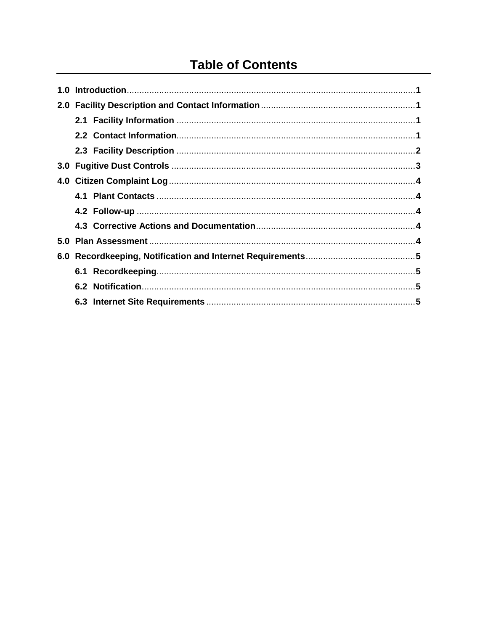## **Table of Contents**

| 3.0 <sub>2</sub> |  |
|------------------|--|
|                  |  |
|                  |  |
|                  |  |
|                  |  |
|                  |  |
| 6.0              |  |
|                  |  |
|                  |  |
|                  |  |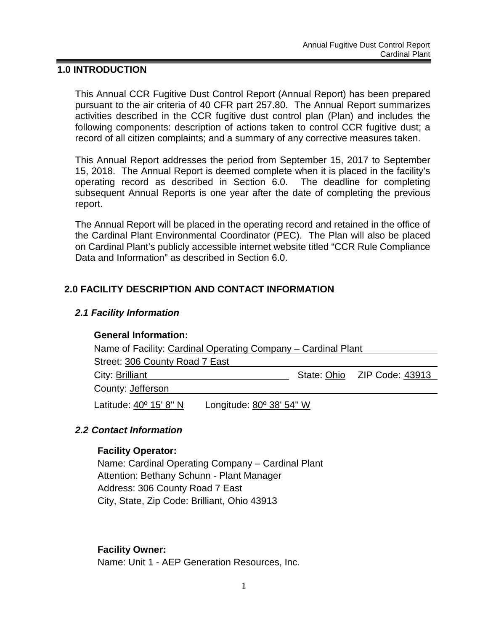#### **1.0 INTRODUCTION**

This Annual CCR Fugitive Dust Control Report (Annual Report) has been prepared pursuant to the air criteria of 40 CFR part 257.80. The Annual Report summarizes activities described in the CCR fugitive dust control plan (Plan) and includes the following components: description of actions taken to control CCR fugitive dust; a record of all citizen complaints; and a summary of any corrective measures taken.

This Annual Report addresses the period from September 15, 2017 to September 15, 2018. The Annual Report is deemed complete when it is placed in the facility's operating record as described in Section 6.0. The deadline for completing subsequent Annual Reports is one year after the date of completing the previous report.

The Annual Report will be placed in the operating record and retained in the office of the Cardinal Plant Environmental Coordinator (PEC). The Plan will also be placed on Cardinal Plant's publicly accessible internet website titled "CCR Rule Compliance Data and Information" as described in Section 6.0.

#### **2.0 FACILITY DESCRIPTION AND CONTACT INFORMATION**

#### *2.1 Facility Information*

#### **General Information:**

| Name of Facility: Cardinal Operating Company – Cardinal Plant |  |  |                             |  |  |
|---------------------------------------------------------------|--|--|-----------------------------|--|--|
| Street: 306 County Road 7 East                                |  |  |                             |  |  |
| City: Brilliant                                               |  |  | State: Ohio ZIP Code: 43913 |  |  |
| County: Jefferson                                             |  |  |                             |  |  |
| Longitude: 80° 38' 54" W<br>Latitude: 40° 15' 8" N            |  |  |                             |  |  |

#### *2.2 Contact Information*

#### **Facility Operator:**

Name: Cardinal Operating Company – Cardinal Plant Attention: Bethany Schunn - Plant Manager Address: 306 County Road 7 East City, State, Zip Code: Brilliant, Ohio 43913

#### **Facility Owner:**

Name: Unit 1 - AEP Generation Resources, Inc.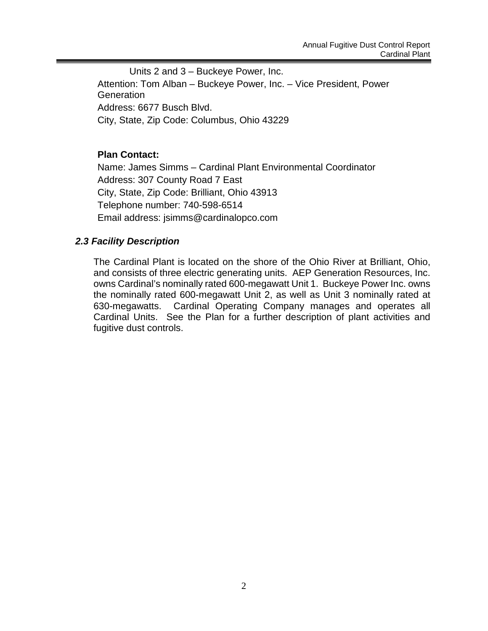Units 2 and 3 – Buckeye Power, Inc. Attention: Tom Alban – Buckeye Power, Inc. – Vice President, Power **Generation** Address: 6677 Busch Blvd. City, State, Zip Code: Columbus, Ohio 43229

#### **Plan Contact:**

Name: James Simms – Cardinal Plant Environmental Coordinator Address: 307 County Road 7 East City, State, Zip Code: Brilliant, Ohio 43913 Telephone number: 740-598-6514 Email address: jsimms@cardinalopco.com

#### *2.3 Facility Description*

The Cardinal Plant is located on the shore of the Ohio River at Brilliant, Ohio, and consists of three electric generating units. AEP Generation Resources, Inc. owns Cardinal's nominally rated 600-megawatt Unit 1. Buckeye Power Inc. owns the nominally rated 600-megawatt Unit 2, as well as Unit 3 nominally rated at 630-megawatts. Cardinal Operating Company manages and operates all Cardinal Units. See the Plan for a further description of plant activities and fugitive dust controls.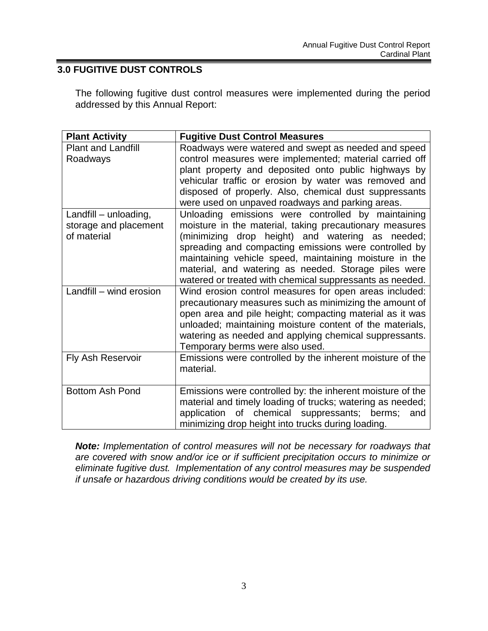#### **3.0 FUGITIVE DUST CONTROLS**

The following fugitive dust control measures were implemented during the period addressed by this Annual Report:

| <b>Plant Activity</b>                                         | <b>Fugitive Dust Control Measures</b>                                                                                                                                                                                                                                                                                                                                                                    |
|---------------------------------------------------------------|----------------------------------------------------------------------------------------------------------------------------------------------------------------------------------------------------------------------------------------------------------------------------------------------------------------------------------------------------------------------------------------------------------|
| <b>Plant and Landfill</b><br>Roadways                         | Roadways were watered and swept as needed and speed<br>control measures were implemented; material carried off<br>plant property and deposited onto public highways by<br>vehicular traffic or erosion by water was removed and<br>disposed of properly. Also, chemical dust suppressants<br>were used on unpaved roadways and parking areas.                                                            |
| Landfill - unloading,<br>storage and placement<br>of material | Unloading emissions were controlled by maintaining<br>moisture in the material, taking precautionary measures<br>(minimizing drop height) and watering as needed;<br>spreading and compacting emissions were controlled by<br>maintaining vehicle speed, maintaining moisture in the<br>material, and watering as needed. Storage piles were<br>watered or treated with chemical suppressants as needed. |
| Landfill - wind erosion                                       | Wind erosion control measures for open areas included:<br>precautionary measures such as minimizing the amount of<br>open area and pile height; compacting material as it was<br>unloaded; maintaining moisture content of the materials,<br>watering as needed and applying chemical suppressants.<br>Temporary berms were also used.                                                                   |
| <b>Fly Ash Reservoir</b>                                      | Emissions were controlled by the inherent moisture of the<br>material.                                                                                                                                                                                                                                                                                                                                   |
| <b>Bottom Ash Pond</b>                                        | Emissions were controlled by: the inherent moisture of the<br>material and timely loading of trucks; watering as needed;<br>application of chemical suppressants; berms;<br>and<br>minimizing drop height into trucks during loading.                                                                                                                                                                    |

*Note: Implementation of control measures will not be necessary for roadways that are covered with snow and/or ice or if sufficient precipitation occurs to minimize or eliminate fugitive dust. Implementation of any control measures may be suspended if unsafe or hazardous driving conditions would be created by its use.*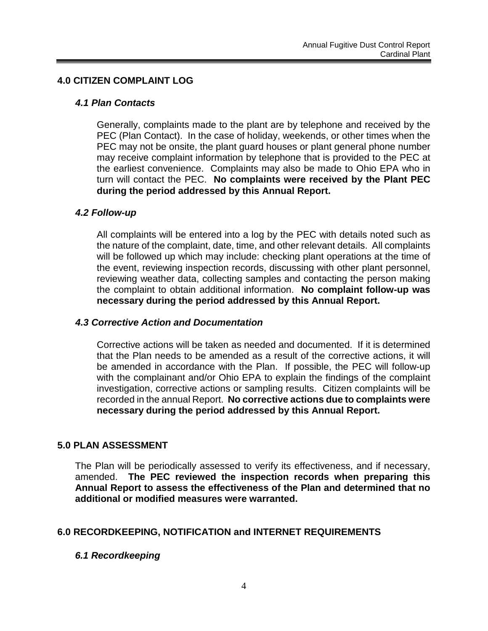#### **4.0 CITIZEN COMPLAINT LOG**

#### *4.1 Plan Contacts*

Generally, complaints made to the plant are by telephone and received by the PEC (Plan Contact). In the case of holiday, weekends, or other times when the PEC may not be onsite, the plant guard houses or plant general phone number may receive complaint information by telephone that is provided to the PEC at the earliest convenience. Complaints may also be made to Ohio EPA who in turn will contact the PEC. **No complaints were received by the Plant PEC during the period addressed by this Annual Report.**

#### *4.2 Follow-up*

All complaints will be entered into a log by the PEC with details noted such as the nature of the complaint, date, time, and other relevant details. All complaints will be followed up which may include: checking plant operations at the time of the event, reviewing inspection records, discussing with other plant personnel, reviewing weather data, collecting samples and contacting the person making the complaint to obtain additional information. **No complaint follow-up was necessary during the period addressed by this Annual Report.**

#### *4.3 Corrective Action and Documentation*

Corrective actions will be taken as needed and documented. If it is determined that the Plan needs to be amended as a result of the corrective actions, it will be amended in accordance with the Plan. If possible, the PEC will follow-up with the complainant and/or Ohio EPA to explain the findings of the complaint investigation, corrective actions or sampling results. Citizen complaints will be recorded in the annual Report. **No corrective actions due to complaints were necessary during the period addressed by this Annual Report.**

#### **5.0 PLAN ASSESSMENT**

The Plan will be periodically assessed to verify its effectiveness, and if necessary, amended. **The PEC reviewed the inspection records when preparing this Annual Report to assess the effectiveness of the Plan and determined that no additional or modified measures were warranted.**

#### **6.0 RECORDKEEPING, NOTIFICATION and INTERNET REQUIREMENTS**

#### *6.1 Recordkeeping*